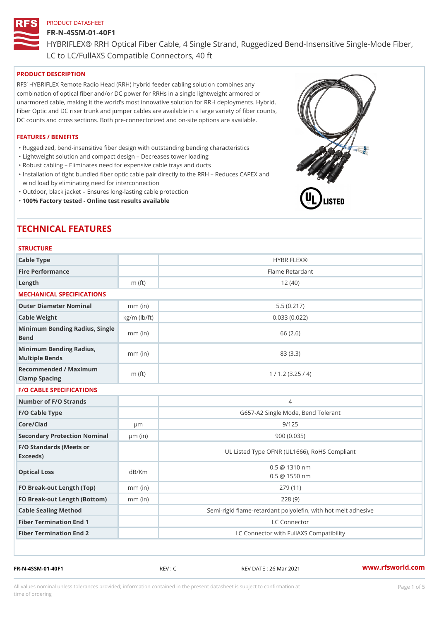#### FR-N-4SSM-01-40F1

HYBRIFLEX® RRH Optical Fiber Cable, 4 Single Strand, Ruggedized Be

LC to LC/FullAXS Compatible Connectors, 40 ft

#### PRODUCT DESCRIPTION

RFS HYBRIFLEX Remote Radio Head (RRH) hybrid feeder cabling solution combines any combination of optical fiber and/or DC power for RRHs in a single lightweight armored or unarmored cable, making it the world s most innovative solution for RRH deployments. Hybrid, Fiber Optic and DC riser trunk and jumper cables are available in a large variety of fiber counts, DC counts and cross sections. Both pre-connectorized and on-site options are available.

#### FEATURES / BENEFITS

"Ruggedized, bend-insensitive fiber design with outstanding bending characteristics

- "Lightweight solution and compact design Decreases tower loading
- "Robust cabling Eliminates need for expensive cable trays and ducts
- "Installation of tight bundled fiber optic cable pair directly to the RRH Aeduces CAPEX and wind load by eliminating need for interconnection
- "Outdoor, black jacket Ensures long-lasting cable protection
- "100% Factory tested Online test results available

# TECHNICAL FEATURES

## STRUCTURE.

| Cable Type                                        |                    | <b>HYBRIFLEX®</b>                                       |
|---------------------------------------------------|--------------------|---------------------------------------------------------|
| Fire Performance                                  |                    | Flame Retardant                                         |
| $L$ ength                                         | $m$ (ft)           | 12(40)                                                  |
| MECHANICAL SPECIFICATIONS                         |                    |                                                         |
| Outer Diameter Nominal                            | $mm$ (in)          | 5.5(0.217)                                              |
| Cable Weight                                      | $kg/m$ ( $lb/ft$ ) | 0.033(0.022)                                            |
| Minimum Bending Radius, Single<br>Bend            |                    | 66 (2.6)                                                |
| Minimum Bending Radius, mm (in)<br>Multiple Bends |                    | 83 (3.3)                                                |
| Recommended / Maximum<br>Clamp Spacing            | $m$ (ft)           | 1 / 1.2 (3.25 / 4)                                      |
| <b>F/O CABLE SPECIFICATIONS</b>                   |                    |                                                         |
| Number of F/O Strands                             |                    | 4                                                       |
| F/O Cable Type                                    |                    | G657-A2 Single Mode, Bend Tolerant                      |
| Core/Clad                                         | $\mu$ m            | 9/125                                                   |
| Secondary Protection Nomimal(in)                  |                    | 900 (0.035)                                             |
| F/O Standards (Meets or<br>Exceeds)               |                    | UL Listed Type OFNR (UL1666), RoHS Compliant            |
| Optical Loss                                      | dB/Km              | $0.5 \ @ \ 1310 \ nm$<br>$0.5 \t@ 1550 nm$              |
| FO Break-out Length (Top)mm (in)                  |                    | 279 (11)                                                |
| FO Break-out Length (Bottomm) (in)                |                    | 228(9)                                                  |
| Cable Sealing Method                              |                    | Semi-rigid flame-retardant polyolefin, with hot melt ad |
| Fiber Termination End                             |                    | LC Connector                                            |
| Fiber Termination End 2                           |                    | LC Connector with FullAXS Compatibility                 |

FR-N-4SSM-01-40F1 REV : C REV DATE : 26 Mar 2021 [www.](https://www.rfsworld.com)rfsworld.com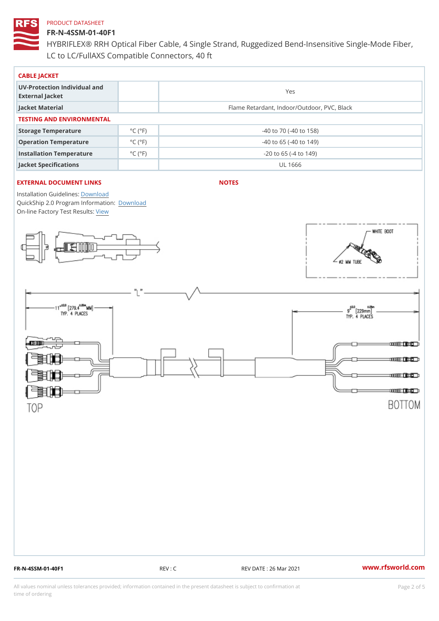### FR-N-4SSM-01-40F1

HYBRIFLEX® RRH Optical Fiber Cable, 4 Single Strand, Ruggedized Be LC to LC/FullAXS Compatible Connectors, 40 ft

| CABLE JACKET                                    |                             |                                             |  |  |  |  |
|-------------------------------------------------|-----------------------------|---------------------------------------------|--|--|--|--|
| UV-Protection Individual and<br>External Jacket |                             | Yes                                         |  |  |  |  |
| Jacket Material                                 |                             | Flame Retardant, Indoor/Outdoor, PVC, Black |  |  |  |  |
| TESTING AND ENVIRONMENTAL                       |                             |                                             |  |  |  |  |
| Storage Temperature                             | $^{\circ}$ C ( $^{\circ}$ F | $-40$ to $70$ ( $-40$ to $158$ )            |  |  |  |  |
| Operation Temperature                           | $^{\circ}$ C ( $^{\circ}$ F | $-40$ to 65 ( $-40$ to 149)                 |  |  |  |  |
| Installation Temperature                        | $^{\circ}$ C ( $^{\circ}$ F | $-20$ to 65 ( $-4$ to 149)                  |  |  |  |  |
| Jacket Specifications                           |                             | UL 1666                                     |  |  |  |  |

#### EXTERNAL DOCUMENT LINKS

NOTES

Installation Guidelwinessad QuickShip 2.0 Program [Informa](http://www.rfsworld.com/images/hybriflex/quickship_program_2.pdf)tion: On-line Factory Te[s](https://www.rfsworld.com/pictures/userfiles/programs/AAST Latest Version.zip)teResults:

FR-N-4SSM-01-40F1 REV : C REV DATE : 26 Mar 2021 [www.](https://www.rfsworld.com)rfsworld.com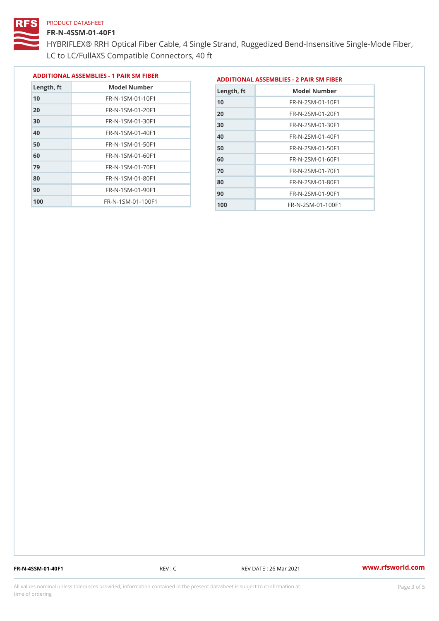#### FR-N-4SSM-01-40F1

 FR-N-1SM-01-70F1 FR-N-1SM-01-80F1 FR-N-1SM-01-90F1 FR-N-1SM-01-100F1

HYBRIFLEX® RRH Optical Fiber Cable, 4 Single Strand, Ruggedized Be LC to LC/FullAXS Compatible Connectors, 40 ft

> FR-N-2SM-01-70F1 FR-N-2SM-01-80F1 FR-N-2SM-01-90F1 FR-N-2SM-01-100F1

|               |                                |               | ADDITIONAL ASSEMBLIES - 1 PAIR SM FIBERDDITIONAL ASSEMBLIES - 2 PAIR SM FIBER |
|---------------|--------------------------------|---------------|-------------------------------------------------------------------------------|
| $L$ ength, ft | Model Number                   | $L$ ength, ft | Model Number                                                                  |
| 10            | $FR - N - 1$ S M - 01 - 10 F 1 | 10            | $FR - N - 2 SM - 01 - 10F1$                                                   |
| 20            | $FR - N - 1$ S M - 01 - 20 F 1 | 20            | $FR - N - 2 SM - 01 - 20 F1$                                                  |
| 30            | FR-N-1SM-01-30F1               | 30            | $FR - N - 2 SM - 01 - 30 F1$                                                  |
| 40            | FR-N-1SM-01-40F1               | 40            | $FR - N - 2 SM - 01 - 40 F1$                                                  |
| 50            | $FR - N - 1$ S M - 01 - 50 F 1 | 50            | $FR - N - 2 SM - 01 - 50 F1$                                                  |
| 60            | FR-N-1SM-01-60F1               | 60            | $FR - N - 2 SM - 01 - 60 F1$                                                  |

FR-N-4SSM-01-40F1 REV : C REV DATE : 26 Mar 2021 [www.](https://www.rfsworld.com)rfsworld.com

All values nominal unless tolerances provided; information contained in the present datasheet is subject to Pcapgeling that i time of ordering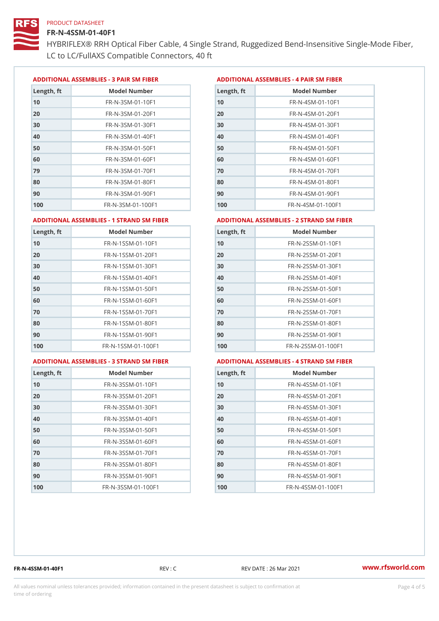#### FR-N-4SSM-01-40F1

HYBRIFLEX® RRH Optical Fiber Cable, 4 Single Strand, Ruggedized Be LC to LC/FullAXS Compatible Connectors, 40 ft

ADDITIONAL ASSEMBLIES - 3 PAIR SM FIBERED DITIONAL ASSEMBLIES - 4 PAIR SM FIBER

| Length, ft | Model Number                  |
|------------|-------------------------------|
| 10         | FR-N-3SM-01-10F1              |
| 20         | FR-N-3SM-01-20F1              |
| 30         | FR-N-3SM-01-30F1              |
| 40         | FR-N-3SM-01-40F1              |
| 50         | FR-N-3SM-01-50F1              |
| 60         | $FR - N - 3 S M - 01 - 60 F1$ |
| 79         | FR-N-3SM-01-70F1              |
| 80         | $FR - N - 3 S M - 01 - 80 F1$ |
| 90         | $FR - N - 3 S M - 01 - 90 F1$ |
| 100        | FR-N-3SM-01-100F1             |

| Length, ft | Model Number                   |
|------------|--------------------------------|
| 10         | FR-N-4SM-01-10F1               |
| 20         | $FR - N - 4 SM - 01 - 20 F1$   |
| 30         | $FR - N - 4 S M - 01 - 30 F1$  |
| 40         | $FR - N - 4 SM - 01 - 40 F1$   |
| 50         | FR-N-4SM-01-50F1               |
| 60         | $FR - N - 4 SM - 01 - 60 F1$   |
| 70         | FR-N-4SM-01-70F1               |
| 80         | $FR - N - 4 S M - 01 - 80 F1$  |
| 90         | FR-N-4SM-01-90F1               |
| 100        | $FR - N - 4 S M - 01 - 100 F1$ |

#### ADDITIONAL ASSEMBLIES - 1 STRAND SM FABSDRTIONAL ASSEMBLIES - 2 STRAND SM FIBER

| Length, ft | Model Number                      | $L$ ength, ft | Model Number                |
|------------|-----------------------------------|---------------|-----------------------------|
| 10         | FR-N-1SSM-01-10F1                 | 10            | FR-N-2SSM-01-10F1           |
| 20         | FR-N-1SSM-01-20F1                 | 20            | $FR - N - 2SSM - 01 - 20F1$ |
| 30         | FR-N-1SSM-01-30F1                 | 30            | FR-N-2SSM-01-30F1           |
| 40         | FR-N-1SSM-01-40F1                 | 40            | $FR - N - 2SSM - 01 - 40F1$ |
| 50         | FR-N-1SSM-01-50F1                 | 50            | $FR - N - 2SSM - 01 - 50F1$ |
| 60         | $FR - N - 1$ S S M - 01 - 60 F 1  | 60            | $FR - N - 2SSM - 01 - 60F1$ |
| 70         | FR-N-1SSM-01-70F1                 | 70            | $FR - N - 2SSM - 01 - 70F1$ |
| 80         | FR-N-1SSM-01-80F1                 | 80            | FR-N-2SSM-01-80F1           |
| 90         | FR-N-1SSM-01-90F1                 | 90            | FR-N-2SSM-01-90F1           |
| 100        | $FR - N - 1$ S S M - 01 - 100 F 1 | 100           | FR-N-2SSM-01-100F1          |
|            |                                   |               |                             |

#### ADDITIONAL ASSEMBLIES - 3 STRAND SM

|--|

### MBLIES - 4 STRAND SM FIBER

| Length, ft | Model Number                    |
|------------|---------------------------------|
| 10         | $FR - N - 3 S S M - 01 - 10 F1$ |
| 20         | FR-N-3SSM-01-20F1               |
| 30         | FR-N-3SSM-01-30F1               |
| 40         | $FR - N - 3 S S M - 01 - 40 F1$ |
| 50         | $FR - N - 3 S S M - 01 - 50 F1$ |
| 60         | $FR - N - 3 S S M - 01 - 60 F1$ |
| 70         | FR-N-3SSM-01-70F1               |
| 80         | $FR - N - 3 S S M - 01 - 80 F1$ |
| 90         | FR-N-3SSM-01-90F1               |
| 100        | FR-N-3SSM-01-100F1              |

| Length, ft | Model Number                     |
|------------|----------------------------------|
| 10         | FR-N-4SSM-01-10F1                |
| 20         | $FR - N - 4 S S M - 01 - 20 F1$  |
| 30         | $FR - N - 4$ S S M - 01 - 30 F 1 |
| 40         | $FR - N - 4 S S M - 01 - 40 F1$  |
| 50         | FR-N-4SSM-01-50F1                |
| 60         | FR-N-4SSM-01-60F1                |
| 70         | $FR - N - 4$ S S M - 01 - 70 F 1 |
| 80         | FR-N-4SSM-01-80F1                |
| 90         | FR-N-4SSM-01-90F1                |
| 100        | FR-N-4SSM-01-100F1               |

FR-N-4SSM-01-40F1 REV : C REV DATE : 26 Mar 2021 [www.](https://www.rfsworld.com)rfsworld.com

All values nominal unless tolerances provided; information contained in the present datasheet is subject to Pcapgnéig4m ssti time of ordering